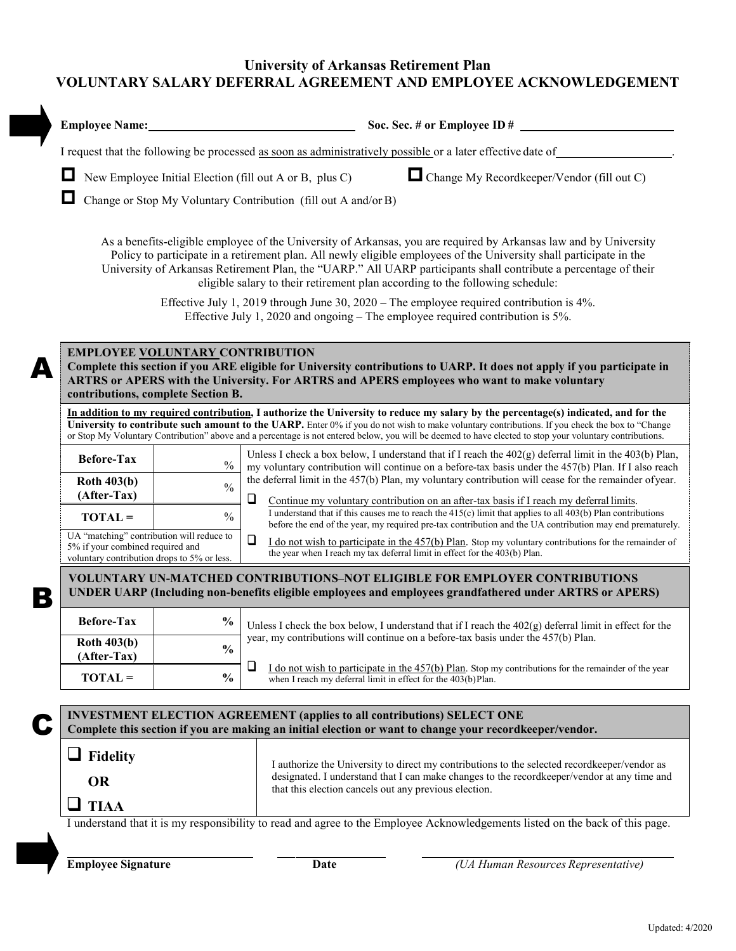## **University of Arkansas Retirement Plan VOLUNTARY SALARY DEFERRAL AGREEMENT AND EMPLOYEE ACKNOWLEDGEMENT**

| <b>Employee Name:</b>                                                                                                        |               | Soc. Sec. # or Employee ID #                                                                                                                                                                                                                                                                                                                                                                                                                      |
|------------------------------------------------------------------------------------------------------------------------------|---------------|---------------------------------------------------------------------------------------------------------------------------------------------------------------------------------------------------------------------------------------------------------------------------------------------------------------------------------------------------------------------------------------------------------------------------------------------------|
|                                                                                                                              |               | I request that the following be processed as soon as administratively possible or a later effective date of                                                                                                                                                                                                                                                                                                                                       |
|                                                                                                                              |               | Change My Recordkeeper/Vendor (fill out C)<br>New Employee Initial Election (fill out A or B, plus C)                                                                                                                                                                                                                                                                                                                                             |
|                                                                                                                              |               | Change or Stop My Voluntary Contribution (fill out A and/or B)                                                                                                                                                                                                                                                                                                                                                                                    |
|                                                                                                                              |               | As a benefits-eligible employee of the University of Arkansas, you are required by Arkansas law and by University<br>Policy to participate in a retirement plan. All newly eligible employees of the University shall participate in the<br>University of Arkansas Retirement Plan, the "UARP." All UARP participants shall contribute a percentage of their<br>eligible salary to their retirement plan according to the following schedule:     |
|                                                                                                                              |               | Effective July 1, 2019 through June 30, 2020 – The employee required contribution is 4%.                                                                                                                                                                                                                                                                                                                                                          |
|                                                                                                                              |               | Effective July 1, 2020 and ongoing $-$ The employee required contribution is 5%.                                                                                                                                                                                                                                                                                                                                                                  |
| <b>EMPLOYEE VOLUNTARY CONTRIBUTION</b><br>contributions, complete Section B.                                                 |               | Complete this section if you ARE eligible for University contributions to UARP. It does not apply if you participate in<br>ARTRS or APERS with the University. For ARTRS and APERS employees who want to make voluntary                                                                                                                                                                                                                           |
|                                                                                                                              |               | In addition to my required contribution, I authorize the University to reduce my salary by the percentage(s) indicated, and for the<br>University to contribute such amount to the UARP. Enter 0% if you do not wish to make voluntary contributions. If you check the box to "Change<br>or Stop My Voluntary Contribution" above and a percentage is not entered below, you will be deemed to have elected to stop your voluntary contributions. |
| <b>Before-Tax</b>                                                                                                            | $\frac{0}{0}$ | Unless I check a box below, I understand that if I reach the $402(g)$ deferral limit in the $403(b)$ Plan,<br>my voluntary contribution will continue on a before-tax basis under the 457(b) Plan. If I also reach                                                                                                                                                                                                                                |
| <b>Roth 403(b)</b>                                                                                                           | $\frac{0}{0}$ | the deferral limit in the 457(b) Plan, my voluntary contribution will cease for the remainder of year.                                                                                                                                                                                                                                                                                                                                            |
| (After-Tax)<br>$TOTAL =$                                                                                                     | $\frac{0}{0}$ | ⊔<br>Continue my voluntary contribution on an after-tax basis if I reach my deferral limits.<br>I understand that if this causes me to reach the $415(c)$ limit that applies to all $403(b)$ Plan contributions<br>before the end of the year, my required pre-tax contribution and the UA contribution may end prematurely.                                                                                                                      |
| UA "matching" contribution will reduce to<br>5% if your combined required and<br>voluntary contribution drops to 5% or less. |               | ❏<br>I do not wish to participate in the $457(b)$ Plan. Stop my voluntary contributions for the remainder of<br>the year when I reach my tax deferral limit in effect for the 403(b) Plan.                                                                                                                                                                                                                                                        |
|                                                                                                                              |               | <b>VOLUNTARY UN-MATCHED CONTRIBUTIONS-NOT ELIGIBLE FOR EMPLOYER CONTRIBUTIONS</b><br>UNDER UARP (Including non-benefits eligible employees and employees grandfathered under ARTRS or APERS)                                                                                                                                                                                                                                                      |
| <b>Before-Tax</b>                                                                                                            | $\frac{0}{0}$ | Unless I check the box below, I understand that if I reach the $402(g)$ deferral limit in effect for the                                                                                                                                                                                                                                                                                                                                          |
| <b>Roth 403(b)</b>                                                                                                           | $\frac{0}{0}$ | year, my contributions will continue on a before-tax basis under the 457(b) Plan.                                                                                                                                                                                                                                                                                                                                                                 |
| (After-Tax)<br>$TOTAL =$                                                                                                     | $\frac{0}{0}$ | ❏<br>I do not wish to participate in the $457(b)$ Plan. Stop my contributions for the remainder of the year<br>when I reach my deferral limit in effect for the 403(b)Plan.                                                                                                                                                                                                                                                                       |
|                                                                                                                              |               |                                                                                                                                                                                                                                                                                                                                                                                                                                                   |
|                                                                                                                              |               | <b>INVESTMENT ELECTION AGREEMENT (applies to all contributions) SELECT ONE</b><br>Complete this section if you are making an initial election or want to change your recordkeeper/vendor.                                                                                                                                                                                                                                                         |
| Fidelity                                                                                                                     |               |                                                                                                                                                                                                                                                                                                                                                                                                                                                   |
|                                                                                                                              |               | I authorize the University to direct my contributions to the selected record keeper/vendor as                                                                                                                                                                                                                                                                                                                                                     |
|                                                                                                                              |               | designated. I understand that I can make changes to the recordkeeper/vendor at any time and                                                                                                                                                                                                                                                                                                                                                       |
| <b>OR</b>                                                                                                                    |               | that this election cancels out any previous election.                                                                                                                                                                                                                                                                                                                                                                                             |
| <b>TIAA</b>                                                                                                                  |               |                                                                                                                                                                                                                                                                                                                                                                                                                                                   |

**Employee Signature Date Date** *(UA Human Resources Representative)*